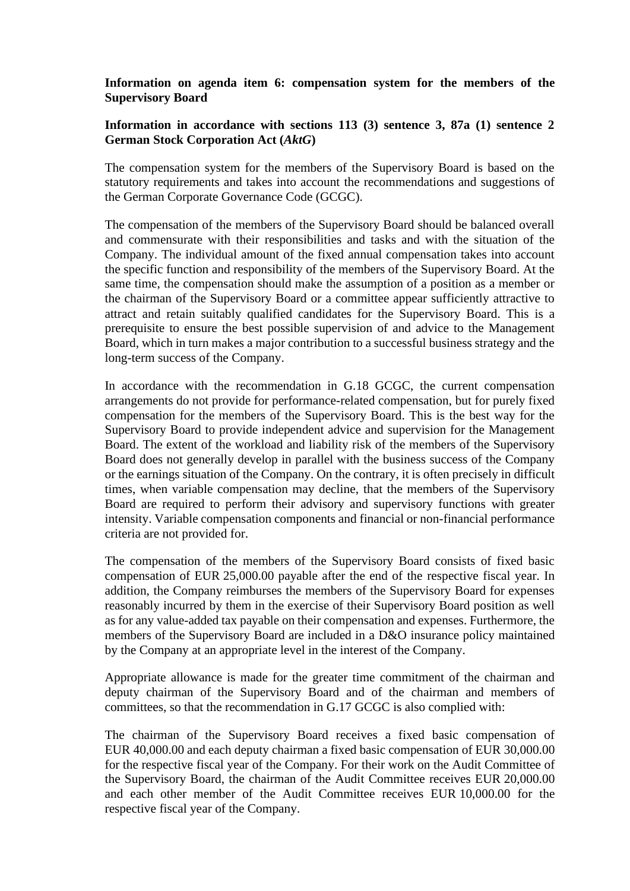## **Information on agenda item 6: compensation system for the members of the Supervisory Board**

## **Information in accordance with sections 113 (3) sentence 3, 87a (1) sentence 2 German Stock Corporation Act (***AktG***)**

The compensation system for the members of the Supervisory Board is based on the statutory requirements and takes into account the recommendations and suggestions of the German Corporate Governance Code (GCGC).

The compensation of the members of the Supervisory Board should be balanced overall and commensurate with their responsibilities and tasks and with the situation of the Company. The individual amount of the fixed annual compensation takes into account the specific function and responsibility of the members of the Supervisory Board. At the same time, the compensation should make the assumption of a position as a member or the chairman of the Supervisory Board or a committee appear sufficiently attractive to attract and retain suitably qualified candidates for the Supervisory Board. This is a prerequisite to ensure the best possible supervision of and advice to the Management Board, which in turn makes a major contribution to a successful business strategy and the long-term success of the Company.

In accordance with the recommendation in G.18 GCGC, the current compensation arrangements do not provide for performance-related compensation, but for purely fixed compensation for the members of the Supervisory Board. This is the best way for the Supervisory Board to provide independent advice and supervision for the Management Board. The extent of the workload and liability risk of the members of the Supervisory Board does not generally develop in parallel with the business success of the Company or the earnings situation of the Company. On the contrary, it is often precisely in difficult times, when variable compensation may decline, that the members of the Supervisory Board are required to perform their advisory and supervisory functions with greater intensity. Variable compensation components and financial or non-financial performance criteria are not provided for.

The compensation of the members of the Supervisory Board consists of fixed basic compensation of EUR 25,000.00 payable after the end of the respective fiscal year. In addition, the Company reimburses the members of the Supervisory Board for expenses reasonably incurred by them in the exercise of their Supervisory Board position as well as for any value-added tax payable on their compensation and expenses. Furthermore, the members of the Supervisory Board are included in a D&O insurance policy maintained by the Company at an appropriate level in the interest of the Company.

Appropriate allowance is made for the greater time commitment of the chairman and deputy chairman of the Supervisory Board and of the chairman and members of committees, so that the recommendation in G.17 GCGC is also complied with:

The chairman of the Supervisory Board receives a fixed basic compensation of EUR 40,000.00 and each deputy chairman a fixed basic compensation of EUR 30,000.00 for the respective fiscal year of the Company. For their work on the Audit Committee of the Supervisory Board, the chairman of the Audit Committee receives EUR 20,000.00 and each other member of the Audit Committee receives EUR 10,000.00 for the respective fiscal year of the Company.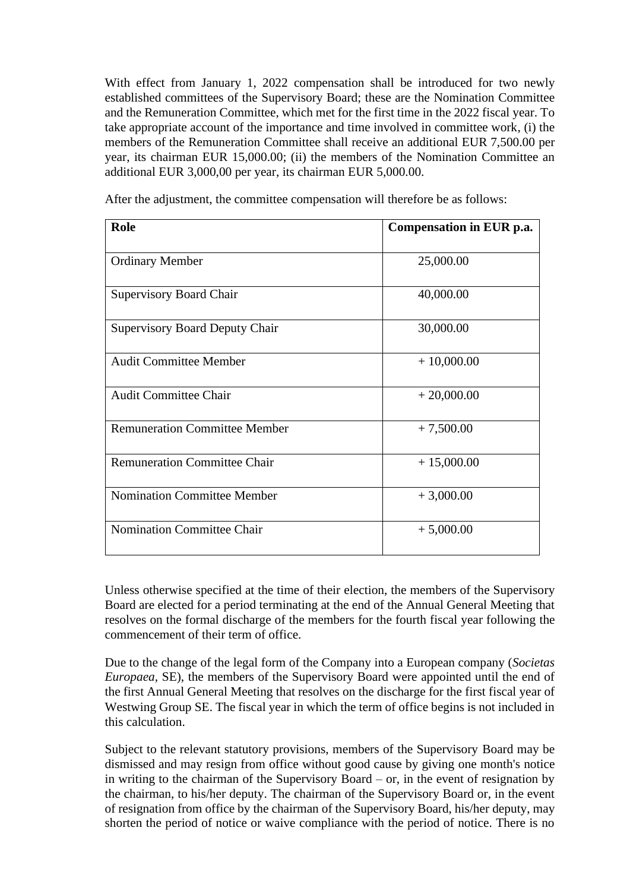With effect from January 1, 2022 compensation shall be introduced for two newly established committees of the Supervisory Board; these are the Nomination Committee and the Remuneration Committee, which met for the first time in the 2022 fiscal year. To take appropriate account of the importance and time involved in committee work, (i) the members of the Remuneration Committee shall receive an additional EUR 7,500.00 per year, its chairman EUR 15,000.00; (ii) the members of the Nomination Committee an additional EUR 3,000,00 per year, its chairman EUR 5,000.00.

| Role                                  | Compensation in EUR p.a. |
|---------------------------------------|--------------------------|
| <b>Ordinary Member</b>                | 25,000.00                |
| <b>Supervisory Board Chair</b>        | 40,000.00                |
| <b>Supervisory Board Deputy Chair</b> | 30,000.00                |
| <b>Audit Committee Member</b>         | $+10,000.00$             |
| <b>Audit Committee Chair</b>          | $+20,000.00$             |
| <b>Remuneration Committee Member</b>  | $+7,500.00$              |
| <b>Remuneration Committee Chair</b>   | $+15,000.00$             |
| <b>Nomination Committee Member</b>    | $+3,000.00$              |
| <b>Nomination Committee Chair</b>     | $+5,000.00$              |

After the adjustment, the committee compensation will therefore be as follows:

Unless otherwise specified at the time of their election, the members of the Supervisory Board are elected for a period terminating at the end of the Annual General Meeting that resolves on the formal discharge of the members for the fourth fiscal year following the commencement of their term of office.

Due to the change of the legal form of the Company into a European company (*Societas Europaea*, SE), the members of the Supervisory Board were appointed until the end of the first Annual General Meeting that resolves on the discharge for the first fiscal year of Westwing Group SE. The fiscal year in which the term of office begins is not included in this calculation.

Subject to the relevant statutory provisions, members of the Supervisory Board may be dismissed and may resign from office without good cause by giving one month's notice in writing to the chairman of the Supervisory Board – or, in the event of resignation by the chairman, to his/her deputy. The chairman of the Supervisory Board or, in the event of resignation from office by the chairman of the Supervisory Board, his/her deputy, may shorten the period of notice or waive compliance with the period of notice. There is no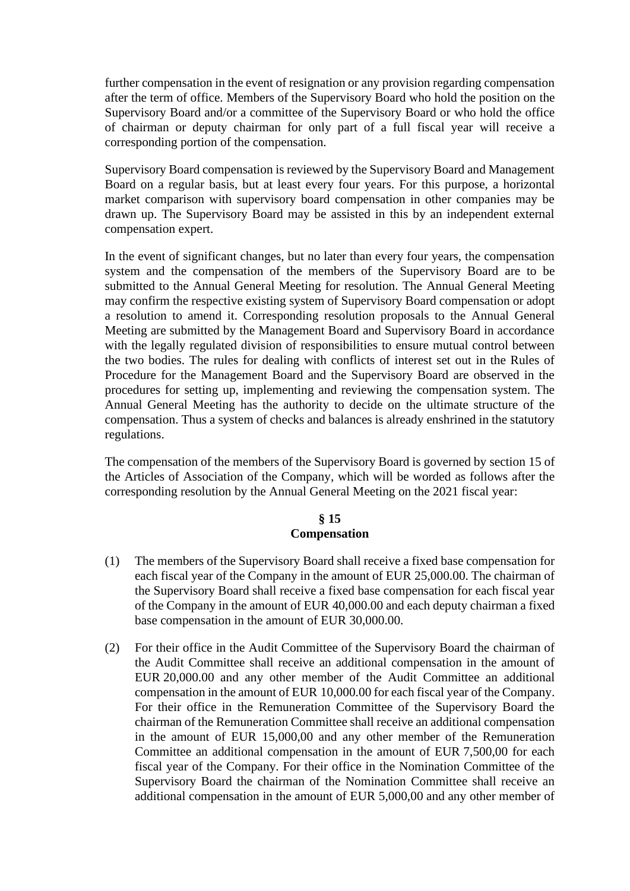further compensation in the event of resignation or any provision regarding compensation after the term of office. Members of the Supervisory Board who hold the position on the Supervisory Board and/or a committee of the Supervisory Board or who hold the office of chairman or deputy chairman for only part of a full fiscal year will receive a corresponding portion of the compensation.

Supervisory Board compensation is reviewed by the Supervisory Board and Management Board on a regular basis, but at least every four years. For this purpose, a horizontal market comparison with supervisory board compensation in other companies may be drawn up. The Supervisory Board may be assisted in this by an independent external compensation expert.

In the event of significant changes, but no later than every four years, the compensation system and the compensation of the members of the Supervisory Board are to be submitted to the Annual General Meeting for resolution. The Annual General Meeting may confirm the respective existing system of Supervisory Board compensation or adopt a resolution to amend it. Corresponding resolution proposals to the Annual General Meeting are submitted by the Management Board and Supervisory Board in accordance with the legally regulated division of responsibilities to ensure mutual control between the two bodies. The rules for dealing with conflicts of interest set out in the Rules of Procedure for the Management Board and the Supervisory Board are observed in the procedures for setting up, implementing and reviewing the compensation system. The Annual General Meeting has the authority to decide on the ultimate structure of the compensation. Thus a system of checks and balances is already enshrined in the statutory regulations.

The compensation of the members of the Supervisory Board is governed by section 15 of the Articles of Association of the Company, which will be worded as follows after the corresponding resolution by the Annual General Meeting on the 2021 fiscal year:

## **§ 15 Compensation**

- (1) The members of the Supervisory Board shall receive a fixed base compensation for each fiscal year of the Company in the amount of EUR 25,000.00. The chairman of the Supervisory Board shall receive a fixed base compensation for each fiscal year of the Company in the amount of EUR 40,000.00 and each deputy chairman a fixed base compensation in the amount of EUR 30,000.00.
- (2) For their office in the Audit Committee of the Supervisory Board the chairman of the Audit Committee shall receive an additional compensation in the amount of EUR 20,000.00 and any other member of the Audit Committee an additional compensation in the amount of EUR 10,000.00 for each fiscal year of the Company. For their office in the Remuneration Committee of the Supervisory Board the chairman of the Remuneration Committee shall receive an additional compensation in the amount of EUR 15,000,00 and any other member of the Remuneration Committee an additional compensation in the amount of EUR 7,500,00 for each fiscal year of the Company. For their office in the Nomination Committee of the Supervisory Board the chairman of the Nomination Committee shall receive an additional compensation in the amount of EUR 5,000,00 and any other member of